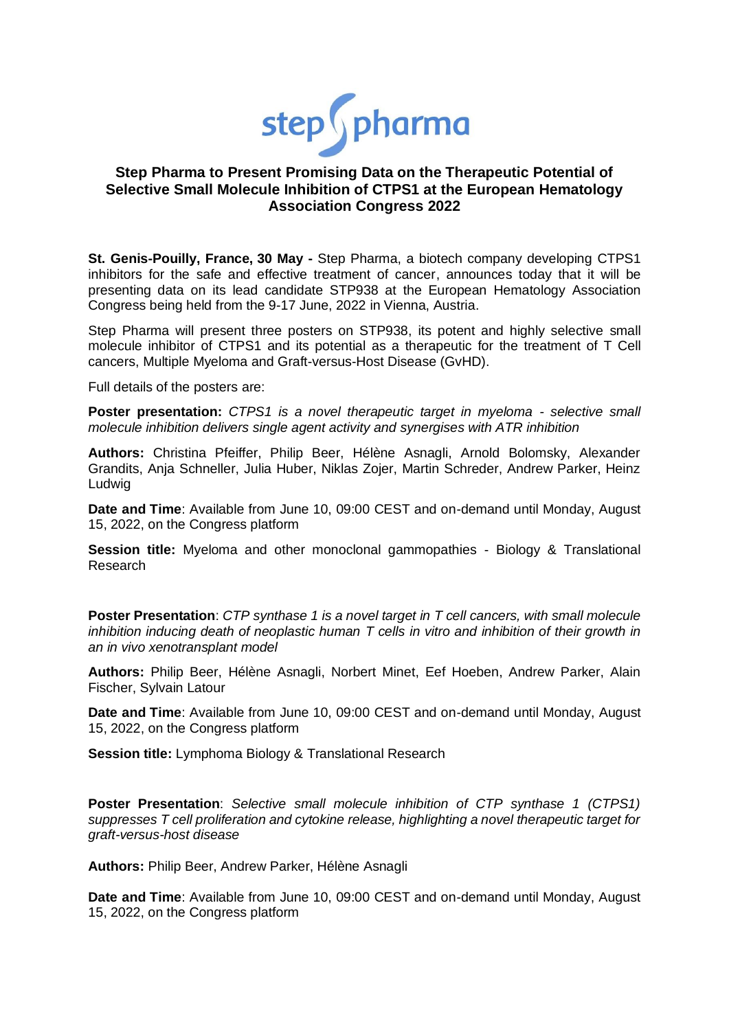

# **Step Pharma to Present Promising Data on the Therapeutic Potential of Selective Small Molecule Inhibition of CTPS1 at the European Hematology Association Congress 2022**

**St. Genis-Pouilly, France, 30 May -** Step Pharma, a biotech company developing CTPS1 inhibitors for the safe and effective treatment of cancer, announces today that it will be presenting data on its lead candidate STP938 at the European Hematology Association Congress being held from the 9-17 June, 2022 in Vienna, Austria.

Step Pharma will present three posters on STP938, its potent and highly selective small molecule inhibitor of CTPS1 and its potential as a therapeutic for the treatment of T Cell cancers, Multiple Myeloma and Graft-versus-Host Disease (GvHD).

Full details of the posters are:

**Poster presentation:** *CTPS1 is a novel therapeutic target in myeloma - selective small molecule inhibition delivers single agent activity and synergises with ATR inhibition*

**Authors:** Christina Pfeiffer, Philip Beer, Hélène Asnagli, Arnold Bolomsky, Alexander Grandits, Anja Schneller, Julia Huber, Niklas Zojer, Martin Schreder, Andrew Parker, Heinz Ludwig

**Date and Time**: Available from June 10, 09:00 CEST and on-demand until Monday, August 15, 2022, on the Congress platform

**Session title:** Myeloma and other monoclonal gammopathies - Biology & Translational Research

**Poster Presentation**: *CTP synthase 1 is a novel target in T cell cancers, with small molecule inhibition inducing death of neoplastic human T cells in vitro and inhibition of their growth in an in vivo xenotransplant model*

**Authors:** Philip Beer, Hélène Asnagli, Norbert Minet, Eef Hoeben, Andrew Parker, Alain Fischer, Sylvain Latour

**Date and Time**: Available from June 10, 09:00 CEST and on-demand until Monday, August 15, 2022, on the Congress platform

**Session title:** Lymphoma Biology & Translational Research

**Poster Presentation**: *Selective small molecule inhibition of CTP synthase 1 (CTPS1) suppresses T cell proliferation and cytokine release, highlighting a novel therapeutic target for graft-versus-host disease*

**Authors:** Philip Beer, Andrew Parker, Hélène Asnagli

**Date and Time**: Available from June 10, 09:00 CEST and on-demand until Monday, August 15, 2022, on the Congress platform